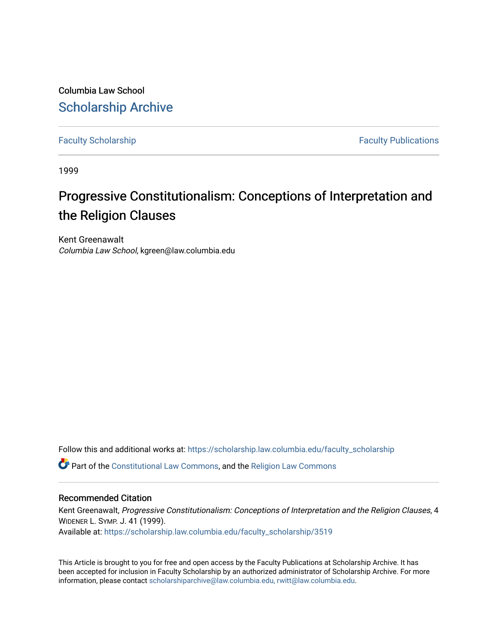Columbia Law School [Scholarship Archive](https://scholarship.law.columbia.edu/) 

[Faculty Scholarship](https://scholarship.law.columbia.edu/faculty_scholarship) **Faculty Scholarship Faculty Publications** 

1999

# Progressive Constitutionalism: Conceptions of Interpretation and the Religion Clauses

Kent Greenawalt Columbia Law School, kgreen@law.columbia.edu

Follow this and additional works at: [https://scholarship.law.columbia.edu/faculty\\_scholarship](https://scholarship.law.columbia.edu/faculty_scholarship?utm_source=scholarship.law.columbia.edu%2Ffaculty_scholarship%2F3519&utm_medium=PDF&utm_campaign=PDFCoverPages)

Part of the [Constitutional Law Commons,](https://network.bepress.com/hgg/discipline/589?utm_source=scholarship.law.columbia.edu%2Ffaculty_scholarship%2F3519&utm_medium=PDF&utm_campaign=PDFCoverPages) and the [Religion Law Commons](https://network.bepress.com/hgg/discipline/872?utm_source=scholarship.law.columbia.edu%2Ffaculty_scholarship%2F3519&utm_medium=PDF&utm_campaign=PDFCoverPages) 

# Recommended Citation

Kent Greenawalt, Progressive Constitutionalism: Conceptions of Interpretation and the Religion Clauses, 4 WIDENER L. SYMP. J. 41 (1999). Available at: [https://scholarship.law.columbia.edu/faculty\\_scholarship/3519](https://scholarship.law.columbia.edu/faculty_scholarship/3519?utm_source=scholarship.law.columbia.edu%2Ffaculty_scholarship%2F3519&utm_medium=PDF&utm_campaign=PDFCoverPages)

This Article is brought to you for free and open access by the Faculty Publications at Scholarship Archive. It has been accepted for inclusion in Faculty Scholarship by an authorized administrator of Scholarship Archive. For more information, please contact [scholarshiparchive@law.columbia.edu, rwitt@law.columbia.edu](mailto:scholarshiparchive@law.columbia.edu,%20rwitt@law.columbia.edu).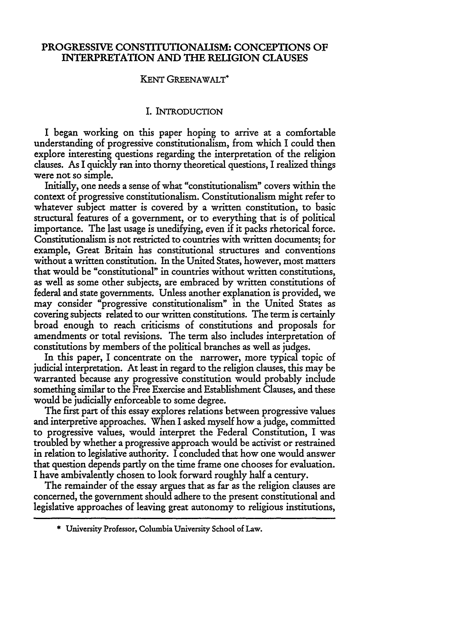# PROGRESSIVE CONSTITUTIONALISM: **CONCEPTIONS** OF INTERPRETATION **AND** THE RELIGION **CLAUSES**

#### KENT GREENAWALT\*

# I. INTRODUCTION

I began working on this paper hoping to arrive at a comfortable understanding of progressive constitutionalism, from which I could then explore interesting questions regarding the interpretation of the religion clauses. As I quickly ran into thorny theoretical questions, I realized things were not so simple.

Initially, one needs a sense of what "constitutionalism" covers within the context of progressive constitutionalism. Constitutionalism might refer to whatever subject matter is covered by a written constitution, to basic structural features of a government, or to everything that is of political importance. The last usage is unedifying, even if it packs rhetorical force. Constitutionalism is not restricted to countries with written documents; for example, Great Britain has constitutional structures and conventions without a written constitution. In the United States, however, most matters that would be "constitutional" in countries without written constitutions, as well as some other subjects, are embraced by written constitutions of federal and state governments. Unless another explanation is provided, we may consider "progressive constitutionalism" in the United States as covering subjects related to our written constitutions. The term is certainly broad enough to reach criticisms of constitutions and proposals for amendments or total revisions. The term also includes interpretation of constitutions by members of the political branches as well as judges.

In this paper, I concentrate on the narrower, more typical topic of judicial interpretation. At least in regard to the religion clauses, this may be warranted because any progressive constitution would probably include something similar to the Free Exercise and Establishment Clauses, and these would be judicially enforceable to some degree.

The first part of this essay explores relations between progressive values and interpretive approaches. When I asked myself how a judge, committed to progressive values, would interpret the Federal Constitution, I was troubled by whether a progressive approach would be activist or restrained in relation to legislative authority. I concluded that how one would answer that question depends partly on the time frame one chooses for evaluation. I have ambivalently chosen to look forward roughly half a century.

The remainder of the essay argues that as far as the religion clauses are concerned, the government should adhere to the present constitutional and legislative approaches of leaving great autonomy to religious institutions,

**<sup>\*</sup>** University Professor, Columbia University School of Law.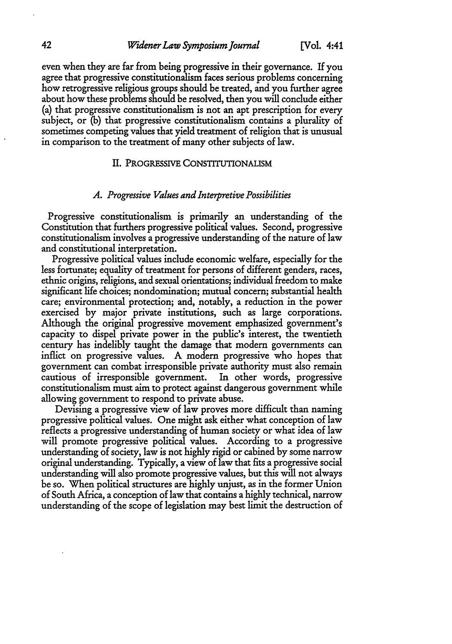even when they are far from being progressive in their governance. If you agree that progressive constitutionalism faces serious problems concerning how retrogressive religious groups should be treated, and you further agree about how these problems should be resolved, then you will conclude either (a) that progressive constitutionalism is not an apt prescription for every subject, or (b) that progressive constitutionalism contains a plurality of sometimes competing values that yield treatment of religion that is unusual in comparison to the treatment of many other subjects of law.

#### I. PROGRESSIVE CONSTITUTIONALISM

#### *A. Progressive Values and Interpretive Possibilities*

Progressive constitutionalism is primarily an understanding of the Constitution that furthers progressive political values. Second, progressive constitutionalism involves a progressive understanding of the nature of law and constitutional interpretation.

Progressive political values include economic welfare, especially for the less fortunate; equality of treatment for persons of different genders, races, ethnic origins, religions, and sexual orientations; individual freedom to make significant life choices; nondomination; mutual concern; substantial health care; environmental protection; and, notably, a reduction in the power exercised by major private institutions, such as large corporations. Although the original progressive movement emphasized government's capacity to dispel private power in the public's interest, the twentieth century has indelibly taught the damage that modern governments can inflict on progressive values. A modern progressive who hopes that government can combat irresponsible private authority must also remain cautious of irresponsible government. In other words, progressive constitutionalism must aim to protect against dangerous government while allowing government to respond to private abuse.

Devising a progressive view of law proves more difficult than naming progressive political values. One might ask either what conception of law reflects a progressive understanding of human society or what idea of law will promote progressive political values. According to a progressive understanding of society, law is not highly rigid or cabined by some narrow original understanding. Typically, a view of law that fits a progressive social understanding will also promote progressive values, but this will not always be so. When political structures are highly unjust, as in the former Union of South Africa, a conception of law that contains a highly technical, narrow understanding of the scope of legislation may best limit the destruction of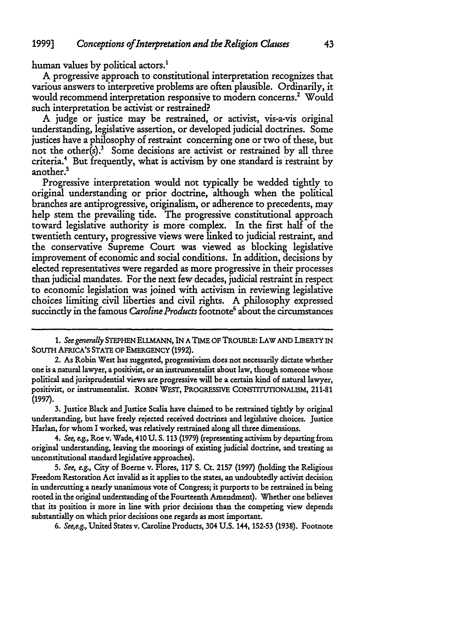human values by political actors.'

A progressive approach to constitutional interpretation recognizes that various answers to interpretive problems are often plausible. Ordinarily, it would recommend interpretation responsive to modern concerns.<sup>2</sup> Would such interpretation be activist or restrained?

A judge or justice may be restrained, or activist, vis-a-vis original understanding, legislative assertion, or developed judicial doctrines. Some justices have a philosophy of restraint concerning one or two of these, but not the other(s).<sup>3</sup> Some decisions are activist or restrained by all three criteria.' But frequently, what is activism by one standard is restraint by another.<sup>5</sup>

Progressive interpretation would not typically be wedded tightly to original understanding or prior doctrine, although when the political branches are antiprogressive, originalism, or adherence to precedents, may help stem the prevailing tide. The progressive constitutional approach toward legislative authority is more complex. In the first half of the twentieth century, progressive views were linked to judicial restraint, and the conservative Supreme Court was viewed as blocking legislative improvement of economic and social conditions. In addition, decisions **by** elected representatives were regarded as more progressive in their processes than judicial mandates. For the next few decades, judicial restraint in respect to economic legislation was joined with activism in reviewing legislative choices limiting civil liberties and civil rights. **A** philosophy expressed succinctly in the famous *Caroline Products* footnote<sup>6</sup> about the circumstances

3. Justice Black and Justice Scalia have claimed to be restrained tightly by original understanding, but have freely rejected received doctrines and legislative choices. Justice Harlan, for whom I worked, was relatively restrained along all three dimensions.

*4. See, e.g.,* Roe v. Wade, 410 U. S. 113 (1979) (representing activism by departing from original understanding, leaving the moorings of existing judicial doctrine, and treating as unconstitutional standard legislative approaches).

*5. See, e.g.,* City of Boerne v. Flores, 117 **S.** Ct. 2157 (1997) (holding the Religious Freedom Restoration Act invalid as it applies to the states, an undoubtedly activist decision in undercutting a nearly unanimous vote of Congress; it purports to be restrained in being rooted in the original understanding of the Fourteenth Amendment). Whether one believes that its position is more in line with prior decisions than the competing view depends substantially on which prior decisions one regards as most important.

*6. Seee.g.,* United States v. Caroline Products, 304 U.S. 144, 152-53 (1938). Footnote

*<sup>1.</sup> See generally* STEPHEN ELLMANN, IN A TIME OF TROUBLE: LAW AND LIBERTY IN SOUTH AFRICA'S STATE OF EMERGENCY **(1992).**

<sup>2.</sup> As Robin West has suggested, progressivism does not necessarily dictate whether one is a natural lawyer, a positivist, or an instrumentalist about law, though someone whose political and jurisprudential views are progressive will be a certain kind of natural lawyer, positivist, or instrumentalist. ROBIN WEST, PROGRESSIVE CONSTITUTONALISM, 211-81 **(1997).**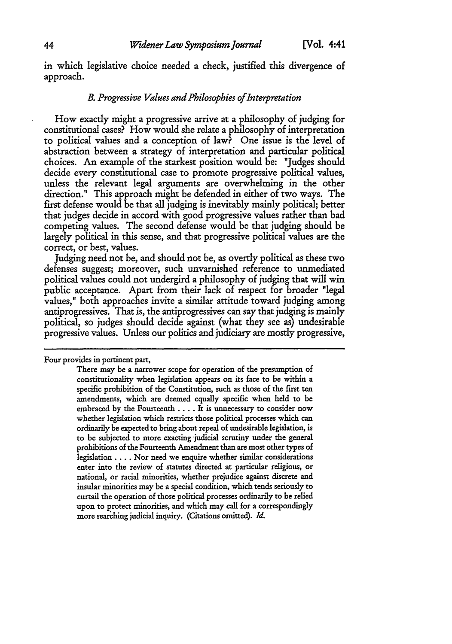in which legislative choice needed a check, justified this divergence of approach.

#### *B. Progressive Values and Philosophies ofInterpretation*

How exactly might a progressive arrive at a philosophy of judging for constitutional cases? How would she relate a philosophy of interpretation to political values and a conception of law? One issue is the level of abstraction between a strategy of interpretation and particular political choices. An example of the starkest position would be: "Judges should decide every constitutional case to promote progressive political values, unless the relevant legal arguments are overwhelming in the other direction." This approach might be defended in either of two ways. The first defense would be that all judging is inevitably mainly political; better that judges decide in accord with good progressive values rather than bad competing values. The second defense would be that judging should be largely political in this sense, and that progressive political values are the correct, or best, values.

Judging need not be, and should not be, as overtly political as these two defenses suggest; moreover, such unvarnished reference to unmediated political values could not undergird a philosophy of judging that will win public acceptance. Apart from their lack of respect for broader "legal values," both approaches invite a similar attitude toward judging among antiprogressives. That is, the antiprogressives can say that judging is mainly political, so judges should decide against (what they see as) undesirable progressive values. Unless our politics and judiciary are mostly progressive,

Four provides in pertinent part,

There may be a narrower scope for operation of the presumption of constitutionality when legislation appears on its face to be within a specific prohibition of the Constitution, such as those of the first ten amendments, which are deemed equally specific when held to be embraced by the Fourteenth .... It is unnecessary to consider now whether legislation which restricts those political processes which can ordinarily be expected to bring about repeal of undesirable legislation, is to be subjected to more exacting judicial scrutiny under the general prohibitions of the Fourteenth Amendment than are most other types of legislation .... Nor need we enquire whether similar considerations enter into the review of statutes directed at particular religious, or national, or racial minorities, whether prejudice against discrete and insular minorities may be a special condition, which tends seriously to curtail the operation of those political processes ordinarily to be relied upon to protect minorities, and which may call for a correspondingly more searching judicial inquiry. (Citations omitted). *Id.*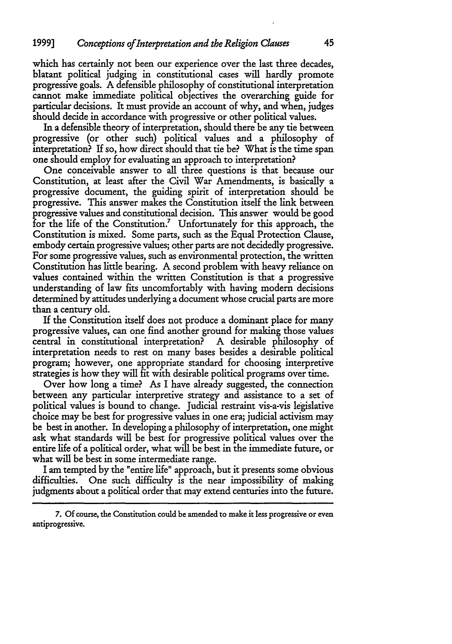which has certainly not been our experience over the last three decades, blatant political judging in constitutional cases will hardly promote progressive goals. A defensible philosophy of constitutional interpretation cannot make immediate political objectives the overarching guide for particular decisions. It must provide an account of why, and when, judges should decide in accordance with progressive or other political values.

In a defensible theory of interpretation, should there be any tie between progressive (or other such) political values and a philosophy of interpretation? If so, how direct should that tie be? What is the time span one should employ for evaluating an approach to interpretation?

One conceivable answer to all three questions is that because our Constitution, at least after the Civil War Amendments, is basically a progressive document, the guiding spirit of interpretation should be progressive. This answer makes the Constitution itself the link between progressive values and constitutional decision. This answer would be good for the life of the Constitution.<sup>7</sup> Unfortunately for this approach, the Constitution is mixed. Some parts, such as the Equal Protection Clause, embody certain progressive values; other parts are not decidedly progressive. For some progressive values, such as environmental protection, the written Constitution has little bearing. A second problem with heavy reliance on values contained within the written Constitution is that a progressive understanding of law fits uncomfortably with having modem decisions determined by attitudes underlying a document whose crucial parts are more than a century old.

If the Constitution itself does not produce a dominant place for many progressive values, can one find another ground for making those values central in constitutional interpretation? A desirable philosophy of interpretation needs to rest on many bases besides a desirable political program; however, one appropriate standard for choosing interpretive strategies is how they will fit with desirable political programs over time.

Over how long a time? As I have already suggested, the connection between any particular interpretive strategy and assistance to a set of political values is bound to change. Judicial restraint vis-a-vis legislative choice may be best for progressive values in one era; judicial activism may be best in another. In developing a philosophy of interpretation, one might ask what standards will be best for progressive political values over the entire life of a political order, what will be best in the immediate future, or what will be best in some intermediate range.

I am tempted by the "entire life" approach, but it presents some obvious difficulties. One such difficulty is the near impossibility of making judgments about a political order that may extend centuries into the future.

<sup>7.</sup> **Of** course, the Constitution could be amended to make it less progressive or even antiprogressive.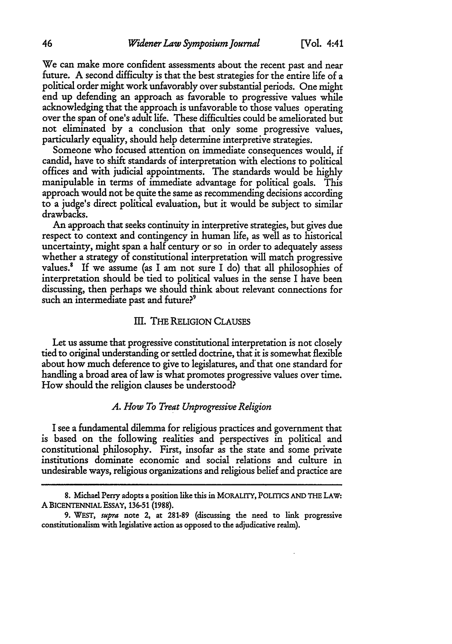We can make more confident assessments about the recent past and near future. A second difficulty is that the best strategies for the entire life of a political order might work unfavorably over substantial periods. One might end up defending an approach as favorable to progressive values while acknowledging that the approach is unfavorable to those values operating over the span of one's adult life. These difficulties could be ameliorated but not eliminated by a conclusion that only some progressive values, particularly equality, should help determine interpretive strategies.

Someone who focused attention on immediate consequences would, if candid, have to shift standards of interpretation with elections to political offices and with judicial appointments. The standards would be highly manipulable in terms of immediate advantage for political goals. This approach would not be quite the same as recommending decisions according to a judge's direct political evaluation, but it would be subject to similar drawbacks.

An approach that seeks continuity in interpretive strategies, but gives due respect to context and contingency in human life, as well as to historical uncertainty, might span a half century or so in order to adequately assess whether a strategy of constitutional interpretation will match progressive values.<sup>8</sup> If we assume (as I am not sure I do) that all philosophies of interpretation should be tied to political values in the sense I have been discussing, then perhaps we should think about relevant connections for such an intermediate past and future?<sup>9</sup>

#### **II.** THE RELIGION CLAUSES

Let us assume that progressive constitutional interpretation is not closely tied to original understanding or settled doctrine, that it is somewhat flexible about how much deference to give to legislatures, and that one standard for handling a broad area of law is what promotes progressive values over time. How should the religion clauses be understood?

# *A. How To Treat Unprogressive Religion*

I see a fundamental dilemma for religious practices and government that is based on the following realities and perspectives in political and constitutional philosophy. First, insofar as the state and some private institutions dominate economic and social relations and culture in undesirable ways, religious organizations and religious belief and practice are

**<sup>8.</sup>** Michael Perry adopts a position like this in **MORALITY, POLITICS AND THE LAW: A** BICENTENNIAL ESSAY, 136-51 (1988).

<sup>9.</sup> WEST, *supra* note 2, **at 281-89** (discussing the need to link progressive constitutionalism with legislative action as opposed to the adjudicative realm).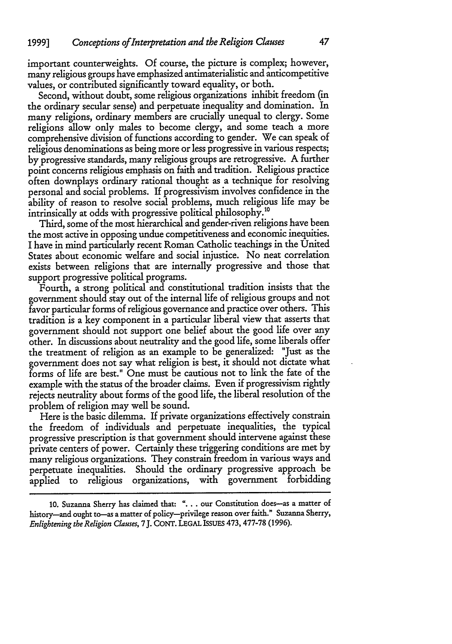important counterweights. **Of** course, the picture is complex; however, many religious groups have emphasized antimaterialistic and anticompetitive values, or contributed significantly toward equality, or both.

Second, without doubt, some religious organizations inhibit freedom (in the ordinary secular sense) and perpetuate inequality and domination. In many religions, ordinary members are crucially unequal to clergy. Some religions allow only males to become clergy, and some teach a more comprehensive division of functions according to gender. We can speak of religious denominations as being more or less progressive in various respects; by progressive standards, many religious groups are retrogressive. A further point concerns religious emphasis on faith and tradition. Religious practice often downplays ordinary rational thought as a technique for resolving personal and social problems. If progressivism involves confidence in the ability of reason to resolve social problems, much religious life may be intrinsically at odds with progressive political philosophy.<sup>10</sup>

Third, some of the most hierarchical and gender-riven religions have been the most active in opposing undue competitiveness and economic inequities. I have in mind particularly recent Roman Catholic teachings in the United States about economic welfare and social injustice. No neat correlation exists between religions that are internally progressive and those that support progressive political programs.

Fourth, a strong political and constitutional tradition insists that the government should stay out of the internal life of religious groups and not favor particular forms of religious governance and practice over others. This tradition is a key component in a particular liberal view that asserts that government should not support one belief about the good life over any other. In discussions about neutrality and the good life, some liberals offer the treatment of religion as an example to be generalized: "Just as the government does not say what religion is best, it should not dictate what forms of life are best." One must be cautious not to link the fate of the example with the status of the broader claims. Even if progressivism rightly rejects neutrality about forms of the good life, the liberal resolution of the problem of religion may well be sound.

Here is the basic dilemma. If private organizations effectively constrain the freedom of individuals and perpetuate inequalities, the typical progressive prescription is that government should intervene against these private centers of power. Certainly these triggering conditions are met by many religious organizations. They constrain freedom in various ways and perpetuate inequalities. Should the ordinary progressive approach be applied to religious organizations, with government forbidding

**<sup>10.</sup>** Suzanna Sherry has claimed that: **. ..** our Constitution does-as a matter of history-and ought to-as a matter of policy-privilege reason over faith." Suzanna Sherry, *Enlightening the Religion Clauses,* 7 J. CONT. **LEGAL** ISSUES 473, 477-78 **(1996).**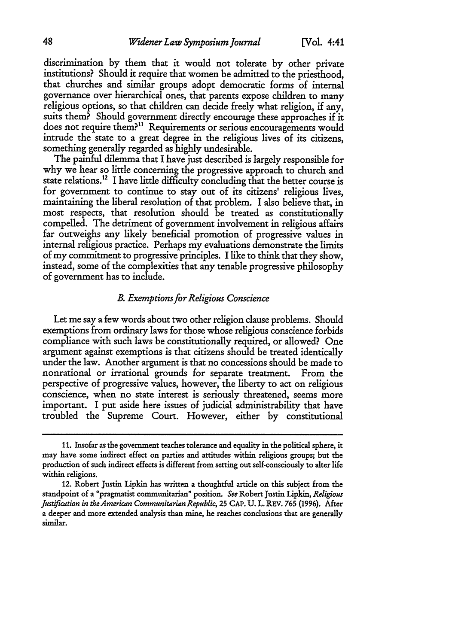discrimination by them that it would not tolerate by other private institutions? Should it require that women be admitted to the priesthood, that churches and similar groups adopt democratic forms of internal governance over hierarchical ones, that parents expose children to many religious options, so that children can decide freely what religion, if any, suits them? Should government directly encourage these approaches if it does not require them?<sup>11</sup> Requirements or serious encouragements would intrude the state to a great degree in the religious lives of its citizens, something generally regarded as highly undesirable.

The painful dilemma that I have just described is largely responsible for why we hear so little concerning the progressive approach to church and state relations.12 I have little difficulty concluding that the better course is for government to continue to stay out of its citizens' religious lives, maintaining the liberal resolution of that problem. I also believe that, in most respects, that resolution should be treated as constitutionally compelled. The detriment of government involvement in religious affairs far outweighs any likely beneficial promotion of progressive values in internal religious practice. Perhaps my evaluations demonstrate the limits of my commitment to progressive principles. I like to think that they show, instead, some of the complexities that any tenable progressive philosophy of government has to include.

## *B. Exemptions for Religious Conscience*

Let me say a few words about two other religion clause problems. Should exemptions from ordinary laws for those whose religious conscience forbids compliance with such laws be constitutionally required, or allowed? One argument against exemptions is that citizens should be treated identically under the law. Another argument is that no concessions should be made to nonrational or irrational grounds for separate treatment. From the perspective of progressive values, however, the liberty to act on religious conscience, when no state interest is seriously threatened, seems more important. I put aside here issues of judicial administrability that have troubled the Supreme Court. However, either by constitutional

<sup>11.</sup> Insofar as the government teaches tolerance and equality in the political sphere, it may have some indirect effect on parties and attitudes within religious groups; but the production of such indirect effects is different from setting out self-consciously to alter life within religions.

<sup>12.</sup> Robert Justin Lipkin has written a thoughtful article on this subject from the standpoint of a "pragmatist communitarian" position. *See* Robert Justin Lipkin, *Religious Justification in theAmerican Communitarian Republic,* **25** CAP. **U.** L. REV. **765** (1996). After a deeper and more extended analysis than mine, he reaches conclusions that are generally similar.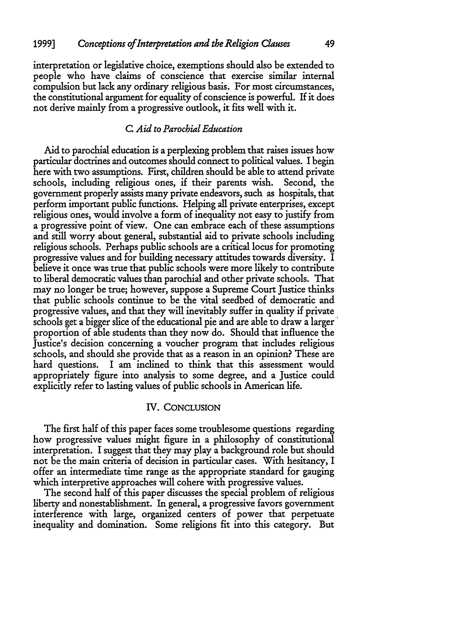interpretation or legislative choice, exemptions should also be extended to people who have claims of conscience that exercise similar internal compulsion but lack any ordinary religious basis. For most circumstances, the constitutional argument for equality of conscience is powerful. If it does not derive mainly from a progressive outlook, it fits well with it.

# *C. Aid to Parochial Education*

Aid to parochial education is a perplexing problem that raises issues how particular doctrines and outcomes should connect to political values. I begin here with two assumptions. First, children should be able to attend private schools, including religious ones, if their parents wish. Second, the government properly assists many private endeavors, such as hospitals, that perform important public functions. Helping all private enterprises, except religious ones, would involve a form of inequality not easy to justify from a progressive point of view. One can embrace each of these assumptions and still worry about general, substantial aid to private schools including religious schools. Perhaps public schools are a critical locus for promoting progressive values and for building necessary attitudes towards diversity. I believe it once was true that public schools were more likely to contribute to liberal democratic values than parochial and other private schools. That may no longer be true; however, suppose a Supreme Court Justice thinks that public schools continue to be the vital seedbed of democratic and progressive values, and that they will inevitably suffer in quality if private schools get a bigger slice of the educational pie and are able to draw a larger proportion of able students than they now do. Should that influence the Justice's decision concerning a voucher program that includes religious schools, and should she provide that as a reason in an opinion? These are hard questions. I am inclined to think that this assessment would appropriately figure into analysis to some degree, and a Justice could explicitly refer to lasting values of public schools in American life.

# IV. CONCLUSION

The first half of this paper faces some troublesome questions regarding how progressive values might figure in a philosophy of constitutional interpretation. I suggest that they may play a background role but should not be the main criteria of decision in particular cases. With hesitancy, I offer an intermediate time range as the appropriate standard for gauging which interpretive approaches will cohere with progressive values.

The second half of this paper discusses the special problem of religious liberty and nonestablishment. In general, a progressive favors government interference with large, organized centers of power that perpetuate inequality and domination. Some religions fit into this category. But